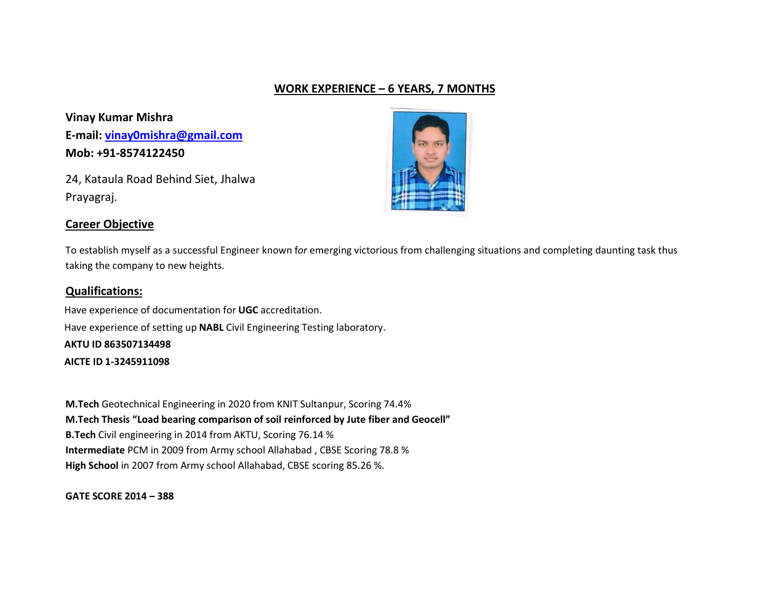# WORK EXPERIENCE – 6 YEARS, 7 MONTHS

Vinay Kumar Mishra E-mail: vinay0mishra@gmail.com Mob: +91-8574122450

24, Kataula Road Behind Siet, Jhalwa Prayagraj.

#### Career Objective



To establish myself as a successful Engineer known for emerging victorious from challenging situations and completing daunting task thus taking the company to new heights.

#### Qualifications:

 Have experience of documentation for UGC accreditation. Have experience of setting up NABL Civil Engineering Testing laboratory. AKTU ID 863507134498 AICTE ID 1-3245911098

M.Tech Geotechnical Engineering in 2020 from KNIT Sultanpur, Scoring 74.4% M.Tech Thesis "Load bearing comparison of soil reinforced by Jute fiber and Geocell" B.Tech Civil engineering in 2014 from AKTU, Scoring 76.14 % Intermediate PCM in 2009 from Army school Allahabad , CBSE Scoring 78.8 % High School in 2007 from Army school Allahabad, CBSE scoring 85.26 %.

GATE SCORE 2014 – 388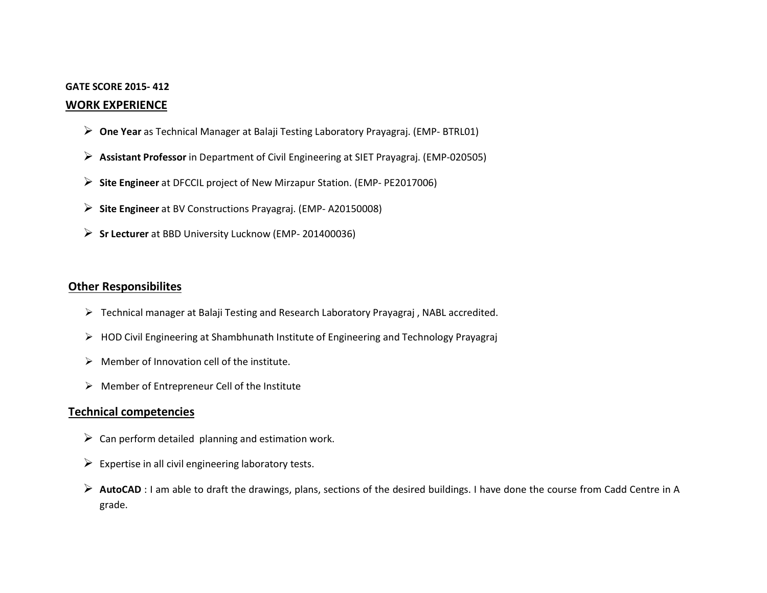#### GATE SCORE 2015- 412

#### WORK EXPERIENCE

- One Year as Technical Manager at Balaji Testing Laboratory Prayagraj. (EMP- BTRL01)
- Assistant Professor in Department of Civil Engineering at SIET Prayagraj. (EMP-020505)
- $\triangleright$  Site Engineer at DFCCIL project of New Mirzapur Station. (EMP- PE2017006)
- $\triangleright$  Site Engineer at BV Constructions Prayagraj. (EMP-A20150008)
- $\triangleright$  Sr Lecturer at BBD University Lucknow (EMP- 201400036)

# Other Responsibilites

- $\triangleright$  Technical manager at Balaji Testing and Research Laboratory Prayagraj, NABL accredited.
- HOD Civil Engineering at Shambhunath Institute of Engineering and Technology Prayagraj
- $\triangleright$  Member of Innovation cell of the institute.
- $\triangleright$  Member of Entrepreneur Cell of the Institute

### Technical competencies

- $\triangleright$  Can perform detailed planning and estimation work.
- $\triangleright$  Expertise in all civil engineering laboratory tests.
- AutoCAD : I am able to draft the drawings, plans, sections of the desired buildings. I have done the course from Cadd Centre in A grade.